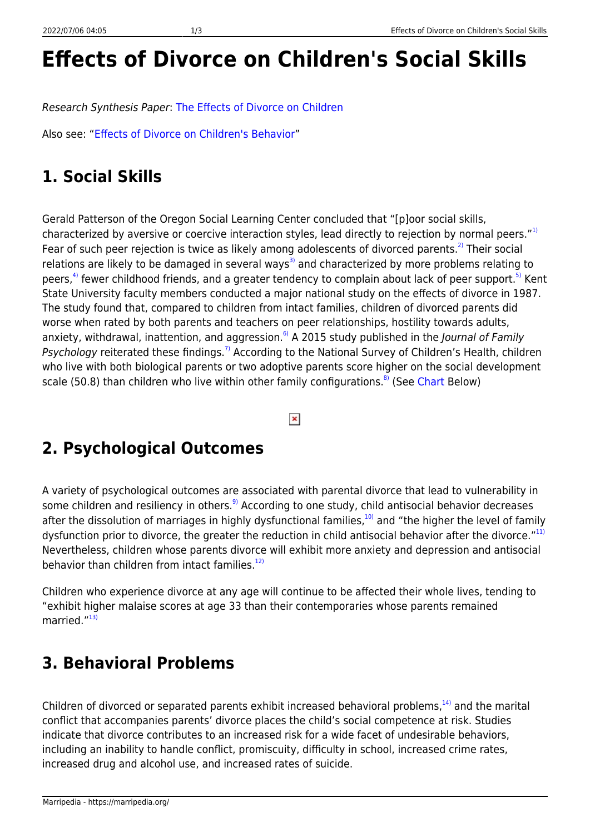## **Effects of Divorce on Children's Social Skills**

Research Synthesis Paper: [The Effects of Divorce on Children](http://marri.us/effects-divorce-children)

Also see: ["Effects of Divorce on Children's Behavior"](https://marripedia.org/effects.of.divorce.on.children.s.behavior)

## **1. Social Skills**

Gerald Patterson of the Oregon Social Learning Center concluded that "[p]oor social skills, characterized by aversive or coercive interaction styles, lead directly to rejection by normal peers."<sup>[1\)](#page--1-0)</sup> Fear of such peer rejection is twice as likely among adolescents of divorced parents.<sup>[2\)](#page--1-0)</sup> Their social relations are likely to be damaged in several ways<sup>[3\)](#page--1-0)</sup> and characterized by more problems relating to peers,<sup>[4\)](#page--1-0)</sup> fewer childhood friends, and a greater tendency to complain about lack of peer support.<sup>[5\)](#page--1-0)</sup> Kent State University faculty members conducted a major national study on the effects of divorce in 1987. The study found that, compared to children from intact families, children of divorced parents did worse when rated by both parents and teachers on peer relationships, hostility towards adults, anxiety, withdrawal, inattention, and aggression.<sup>6</sup> A 2015 study published in the *Journal of Family* Psychology reiterated these findings.<sup>[7\)](#page--1-0)</sup> According to the National Survey of Children's Health, children who live with both biological parents or two adoptive parents score higher on the social development scale (50.[8\)](#page--1-0) than children who live within other family configurations.<sup>8</sup> (See [Chart](http://downloads.frc.org/EF/EF09G09.pdf) Below)

 $\pmb{\times}$ 

## **2. Psychological Outcomes**

A variety of psychological outcomes are associated with parental divorce that lead to vulnerability in some children and resiliency in others.<sup>[9\)](#page--1-0)</sup> According to one study, child antisocial behavior decreases after the dissolution of marriages in highly dysfunctional families, $10$ ) and "the higher the level of family dysfunction prior to divorce, the greater the reduction in child antisocial behavior after the divorce."<sup>[11\)](#page--1-0)</sup> Nevertheless, children whose parents divorce will exhibit more anxiety and depression and antisocial behavior than children from intact families.<sup>[12\)](#page--1-0)</sup>

Children who experience divorce at any age will continue to be affected their whole lives, tending to "exhibit higher malaise scores at age 33 than their contemporaries whose parents remained married."<sup>[13\)](#page--1-0)</sup>

## **3. Behavioral Problems**

Children of divorced or separated parents exhibit increased behavioral problems,<sup>[14\)](#page--1-0)</sup> and the marital conflict that accompanies parents' divorce places the child's social competence at risk. Studies indicate that divorce contributes to an increased risk for a wide facet of undesirable behaviors, including an inability to handle conflict, promiscuity, difficulty in school, increased crime rates, increased drug and alcohol use, and increased rates of suicide.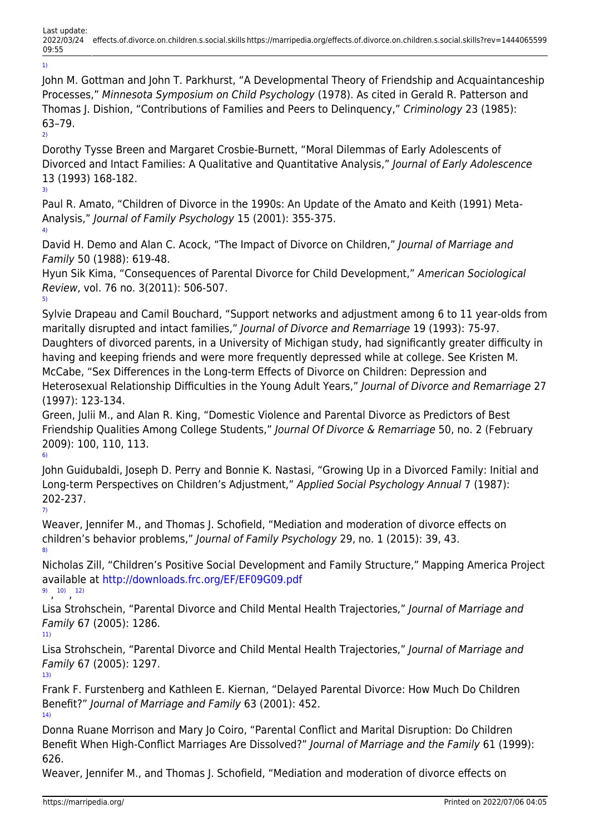John M. Gottman and John T. Parkhurst, "A Developmental Theory of Friendship and Acquaintanceship Processes," Minnesota Symposium on Child Psychology (1978). As cited in Gerald R. Patterson and Thomas J. Dishion, "Contributions of Families and Peers to Delinquency," Criminology 23 (1985): 63–79. [2\)](#page--1-0)

Dorothy Tysse Breen and Margaret Crosbie-Burnett, "Moral Dilemmas of Early Adolescents of Divorced and Intact Families: A Qualitative and Quantitative Analysis," Journal of Early Adolescence 13 (1993) 168-182. [3\)](#page--1-0)

Paul R. Amato, "Children of Divorce in the 1990s: An Update of the Amato and Keith (1991) Meta-Analysis," Journal of Family Psychology 15 (2001): 355-375. [4\)](#page--1-0)

David H. Demo and Alan C. Acock, "The Impact of Divorce on Children," Journal of Marriage and Family 50 (1988): 619-48.

Hyun Sik Kima, "Consequences of Parental Divorce for Child Development," American Sociological Review, vol. 76 no. 3(2011): 506-507. [5\)](#page--1-0)

Sylvie Drapeau and Camil Bouchard, "Support networks and adjustment among 6 to 11 year-olds from maritally disrupted and intact families," Journal of Divorce and Remarriage 19 (1993): 75-97. Daughters of divorced parents, in a University of Michigan study, had significantly greater difficulty in having and keeping friends and were more frequently depressed while at college. See Kristen M. McCabe, "Sex Differences in the Long-term Effects of Divorce on Children: Depression and Heterosexual Relationship Difficulties in the Young Adult Years," Journal of Divorce and Remarriage 27 (1997): 123-134.

Green, Julii M., and Alan R. King, "Domestic Violence and Parental Divorce as Predictors of Best Friendship Qualities Among College Students," Journal Of Divorce & Remarriage 50, no. 2 (February 2009): 100, 110, 113. [6\)](#page--1-0)

John Guidubaldi, Joseph D. Perry and Bonnie K. Nastasi, "Growing Up in a Divorced Family: Initial and Long-term Perspectives on Children's Adjustment," Applied Social Psychology Annual 7 (1987): 202-237.

[7\)](#page--1-0)

[1\)](#page--1-0)

Weaver, Jennifer M., and Thomas J. Schofield, "Mediation and moderation of divorce effects on children's behavior problems," Journal of Family Psychology 29, no. 1 (2015): 39, 43. [8\)](#page--1-0)

Nicholas Zill, "Children's Positive Social Development and Family Structure," Mapping America Project available at<http://downloads.frc.org/EF/EF09G09.pdf> [9\)](#page--1-0) , [10\)](#page--1-0) , [12\)](#page--1-0)

Lisa Strohschein, "Parental Divorce and Child Mental Health Trajectories," Journal of Marriage and Family 67 (2005): 1286.

[11\)](#page--1-0)

Lisa Strohschein, "Parental Divorce and Child Mental Health Trajectories," Journal of Marriage and Family 67 (2005): 1297. [13\)](#page--1-0)

Frank F. Furstenberg and Kathleen E. Kiernan, "Delayed Parental Divorce: How Much Do Children Benefit?" Journal of Marriage and Family 63 (2001): 452. [14\)](#page--1-0)

Donna Ruane Morrison and Mary Jo Coiro, "Parental Conflict and Marital Disruption: Do Children Benefit When High-Conflict Marriages Are Dissolved?" Journal of Marriage and the Family 61 (1999): 626.

Weaver, Jennifer M., and Thomas J. Schofield, "Mediation and moderation of divorce effects on